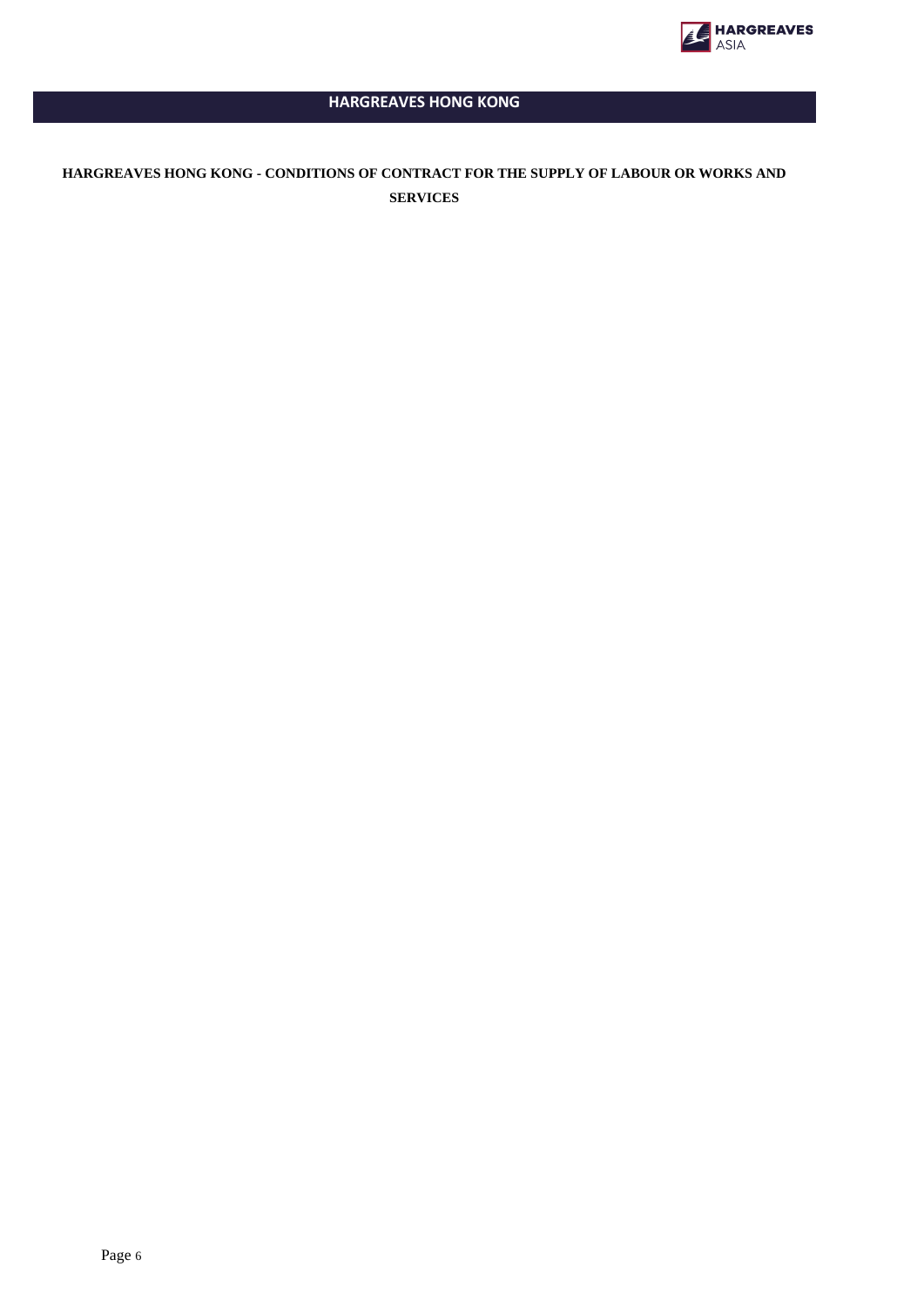

# **HARGREAVES HONG KONG**

# **HARGREAVES HONG KONG - CONDITIONS OF CONTRACT FOR THE SUPPLY OF LABOUR OR WORKS AND SERVICES**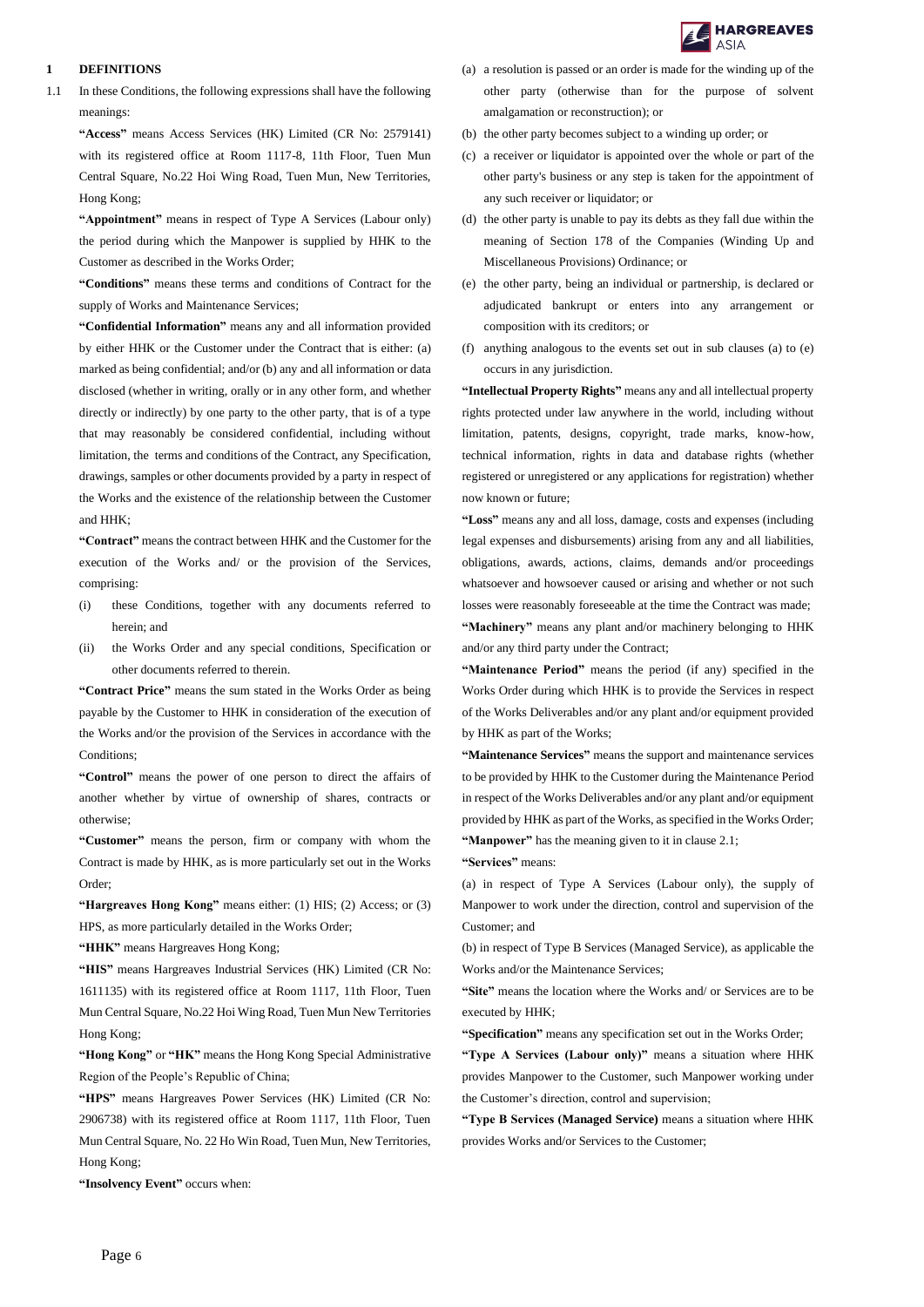

#### **1 DEFINITIONS**

1.1 In these Conditions, the following expressions shall have the following meanings:

**"Access"** means Access Services (HK) Limited (CR No: 2579141) with its registered office at Room 1117-8, 11th Floor, Tuen Mun Central Square, No.22 Hoi Wing Road, Tuen Mun, New Territories, Hong Kong;

**"Appointment"** means in respect of Type A Services (Labour only) the period during which the Manpower is supplied by HHK to the Customer as described in the Works Order;

**"Conditions"** means these terms and conditions of Contract for the supply of Works and Maintenance Services;

**"Confidential Information"** means any and all information provided by either HHK or the Customer under the Contract that is either: (a) marked as being confidential; and/or (b) any and all information or data disclosed (whether in writing, orally or in any other form, and whether directly or indirectly) by one party to the other party, that is of a type that may reasonably be considered confidential, including without limitation, the terms and conditions of the Contract, any Specification, drawings, samples or other documents provided by a party in respect of the Works and the existence of the relationship between the Customer and HHK;

**"Contract"** means the contract between HHK and the Customer for the execution of the Works and/ or the provision of the Services, comprising:

- (i) these Conditions, together with any documents referred to herein; and
- (ii) the Works Order and any special conditions, Specification or other documents referred to therein.

**"Contract Price"** means the sum stated in the Works Order as being payable by the Customer to HHK in consideration of the execution of the Works and/or the provision of the Services in accordance with the Conditions;

**"Control"** means the power of one person to direct the affairs of another whether by virtue of ownership of shares, contracts or otherwise;

**"Customer"** means the person, firm or company with whom the Contract is made by HHK, as is more particularly set out in the Works Order;

**"Hargreaves Hong Kong"** means either: (1) HIS; (2) Access; or (3) HPS, as more particularly detailed in the Works Order;

**"HHK"** means Hargreaves Hong Kong;

**"HIS"** means Hargreaves Industrial Services (HK) Limited (CR No: 1611135) with its registered office at Room 1117, 11th Floor, Tuen Mun Central Square, No.22 Hoi Wing Road, Tuen Mun New Territories Hong Kong;

**"Hong Kong"** or **"HK"** means the Hong Kong Special Administrative Region of the People's Republic of China;

**"HPS"** means Hargreaves Power Services (HK) Limited (CR No: 2906738) with its registered office at Room 1117, 11th Floor, Tuen Mun Central Square, No. 22 Ho Win Road, Tuen Mun, New Territories, Hong Kong;

**"Insolvency Event"** occurs when:

- (a) a resolution is passed or an order is made for the winding up of the other party (otherwise than for the purpose of solvent amalgamation or reconstruction); or
- (b) the other party becomes subject to a winding up order; or
- (c) a receiver or liquidator is appointed over the whole or part of the other party's business or any step is taken for the appointment of any such receiver or liquidator; or
- (d) the other party is unable to pay its debts as they fall due within the meaning of Section 178 of the Companies (Winding Up and Miscellaneous Provisions) Ordinance; or
- (e) the other party, being an individual or partnership, is declared or adjudicated bankrupt or enters into any arrangement or composition with its creditors; or
- (f) anything analogous to the events set out in sub clauses (a) to (e) occurs in any jurisdiction.

**"Intellectual Property Rights"** means any and all intellectual property rights protected under law anywhere in the world, including without limitation, patents, designs, copyright, trade marks, know-how, technical information, rights in data and database rights (whether registered or unregistered or any applications for registration) whether now known or future;

**"Loss"** means any and all loss, damage, costs and expenses (including legal expenses and disbursements) arising from any and all liabilities, obligations, awards, actions, claims, demands and/or proceedings whatsoever and howsoever caused or arising and whether or not such losses were reasonably foreseeable at the time the Contract was made; **"Machinery"** means any plant and/or machinery belonging to HHK and/or any third party under the Contract;

**"Maintenance Period"** means the period (if any) specified in the Works Order during which HHK is to provide the Services in respect of the Works Deliverables and/or any plant and/or equipment provided by HHK as part of the Works;

**"Maintenance Services"** means the support and maintenance services to be provided by HHK to the Customer during the Maintenance Period in respect of the Works Deliverables and/or any plant and/or equipment provided by HHK as part of the Works, as specified in the Works Order; **"Manpower"** has the meaning given to it in clause 2.1;

**"Services"** means:

(a) in respect of Type A Services (Labour only), the supply of Manpower to work under the direction, control and supervision of the Customer; and

(b) in respect of Type B Services (Managed Service), as applicable the Works and/or the Maintenance Services;

**"Site"** means the location where the Works and/ or Services are to be executed by HHK;

**"Specification"** means any specification set out in the Works Order;

**"Type A Services (Labour only)"** means a situation where HHK provides Manpower to the Customer, such Manpower working under the Customer's direction, control and supervision;

**"Type B Services (Managed Service)** means a situation where HHK provides Works and/or Services to the Customer;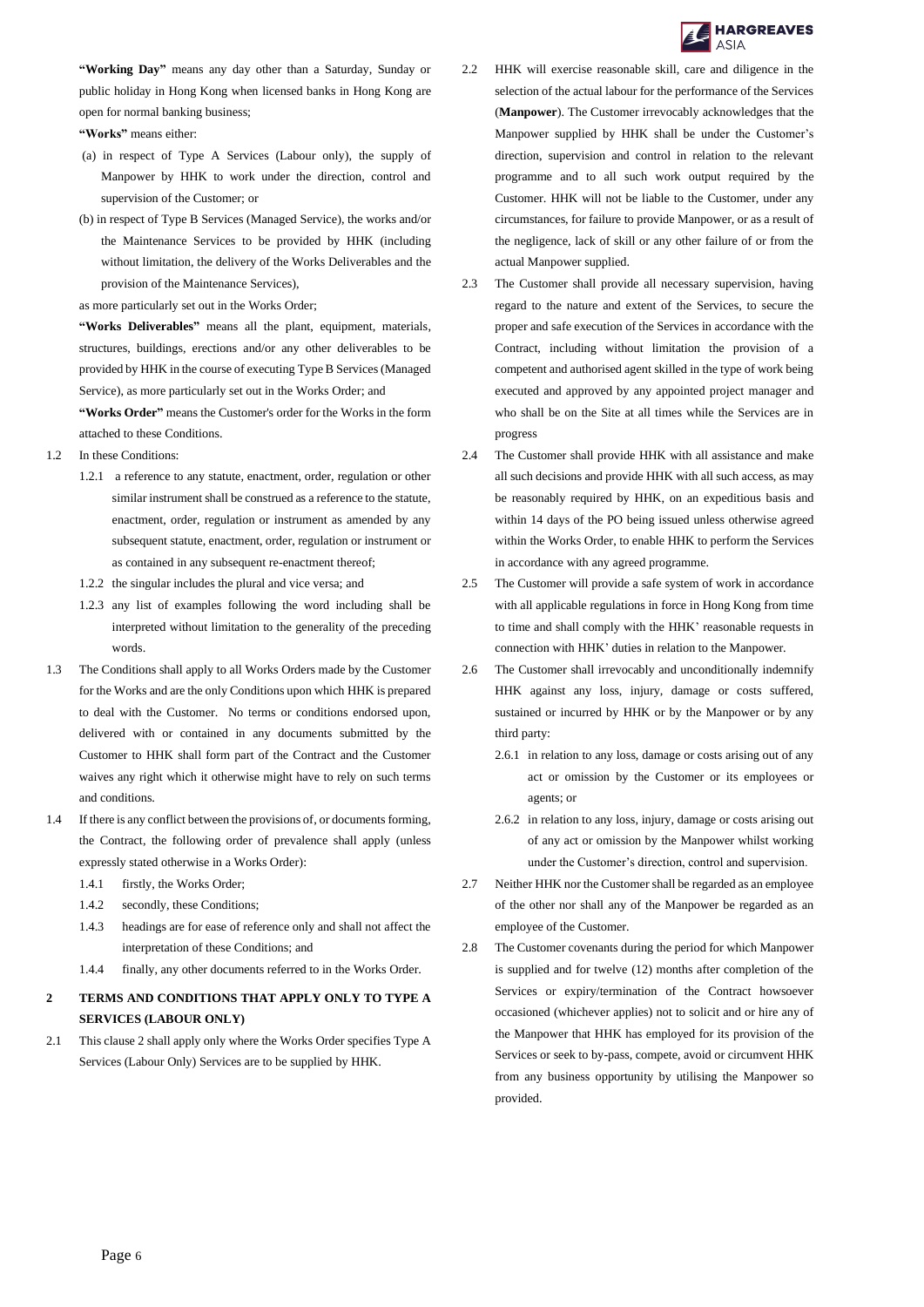

**"Working Day"** means any day other than a Saturday, Sunday or public holiday in Hong Kong when licensed banks in Hong Kong are open for normal banking business;

#### **"Works"** means either:

- (a) in respect of Type A Services (Labour only), the supply of Manpower by HHK to work under the direction, control and supervision of the Customer; or
- (b) in respect of Type B Services (Managed Service), the works and/or the Maintenance Services to be provided by HHK (including without limitation, the delivery of the Works Deliverables and the provision of the Maintenance Services),

as more particularly set out in the Works Order;

**"Works Deliverables"** means all the plant, equipment, materials, structures, buildings, erections and/or any other deliverables to be provided by HHK in the course of executing Type B Services (Managed Service), as more particularly set out in the Works Order; and **"Works Order"** means the Customer's order for the Works in the form attached to these Conditions.

- 1.2 In these Conditions:
	- 1.2.1 a reference to any statute, enactment, order, regulation or other similar instrument shall be construed as a reference to the statute, enactment, order, regulation or instrument as amended by any subsequent statute, enactment, order, regulation or instrument or as contained in any subsequent re-enactment thereof;
	- 1.2.2 the singular includes the plural and vice versa; and
	- 1.2.3 any list of examples following the word including shall be interpreted without limitation to the generality of the preceding words.
- 1.3 The Conditions shall apply to all Works Orders made by the Customer for the Works and are the only Conditions upon which HHK is prepared to deal with the Customer. No terms or conditions endorsed upon, delivered with or contained in any documents submitted by the Customer to HHK shall form part of the Contract and the Customer waives any right which it otherwise might have to rely on such terms and conditions.
- 1.4 If there is any conflict between the provisions of, or documents forming, the Contract, the following order of prevalence shall apply (unless expressly stated otherwise in a Works Order):
	- 1.4.1 firstly, the Works Order;
	- 1.4.2 secondly, these Conditions;
	- 1.4.3 headings are for ease of reference only and shall not affect the interpretation of these Conditions; and
	- 1.4.4 finally, any other documents referred to in the Works Order.

# **2 TERMS AND CONDITIONS THAT APPLY ONLY TO TYPE A SERVICES (LABOUR ONLY)**

2.1 This clause 2 shall apply only where the Works Order specifies Type A Services (Labour Only) Services are to be supplied by HHK.

- 2.2 HHK will exercise reasonable skill, care and diligence in the selection of the actual labour for the performance of the Services (**Manpower**). The Customer irrevocably acknowledges that the Manpower supplied by HHK shall be under the Customer's direction, supervision and control in relation to the relevant programme and to all such work output required by the Customer. HHK will not be liable to the Customer, under any circumstances, for failure to provide Manpower, or as a result of the negligence, lack of skill or any other failure of or from the actual Manpower supplied.
- 2.3 The Customer shall provide all necessary supervision, having regard to the nature and extent of the Services, to secure the proper and safe execution of the Services in accordance with the Contract, including without limitation the provision of a competent and authorised agent skilled in the type of work being executed and approved by any appointed project manager and who shall be on the Site at all times while the Services are in progress
- 2.4 The Customer shall provide HHK with all assistance and make all such decisions and provide HHK with all such access, as may be reasonably required by HHK, on an expeditious basis and within 14 days of the PO being issued unless otherwise agreed within the Works Order, to enable HHK to perform the Services in accordance with any agreed programme.
- 2.5 The Customer will provide a safe system of work in accordance with all applicable regulations in force in Hong Kong from time to time and shall comply with the HHK' reasonable requests in connection with HHK' duties in relation to the Manpower.
- 2.6 The Customer shall irrevocably and unconditionally indemnify HHK against any loss, injury, damage or costs suffered, sustained or incurred by HHK or by the Manpower or by any third party:
	- 2.6.1 in relation to any loss, damage or costs arising out of any act or omission by the Customer or its employees or agents; or
	- 2.6.2 in relation to any loss, injury, damage or costs arising out of any act or omission by the Manpower whilst working under the Customer's direction, control and supervision.
- 2.7 Neither HHK nor the Customer shall be regarded as an employee of the other nor shall any of the Manpower be regarded as an employee of the Customer.
- 2.8 The Customer covenants during the period for which Manpower is supplied and for twelve (12) months after completion of the Services or expiry/termination of the Contract howsoever occasioned (whichever applies) not to solicit and or hire any of the Manpower that HHK has employed for its provision of the Services or seek to by-pass, compete, avoid or circumvent HHK from any business opportunity by utilising the Manpower so provided.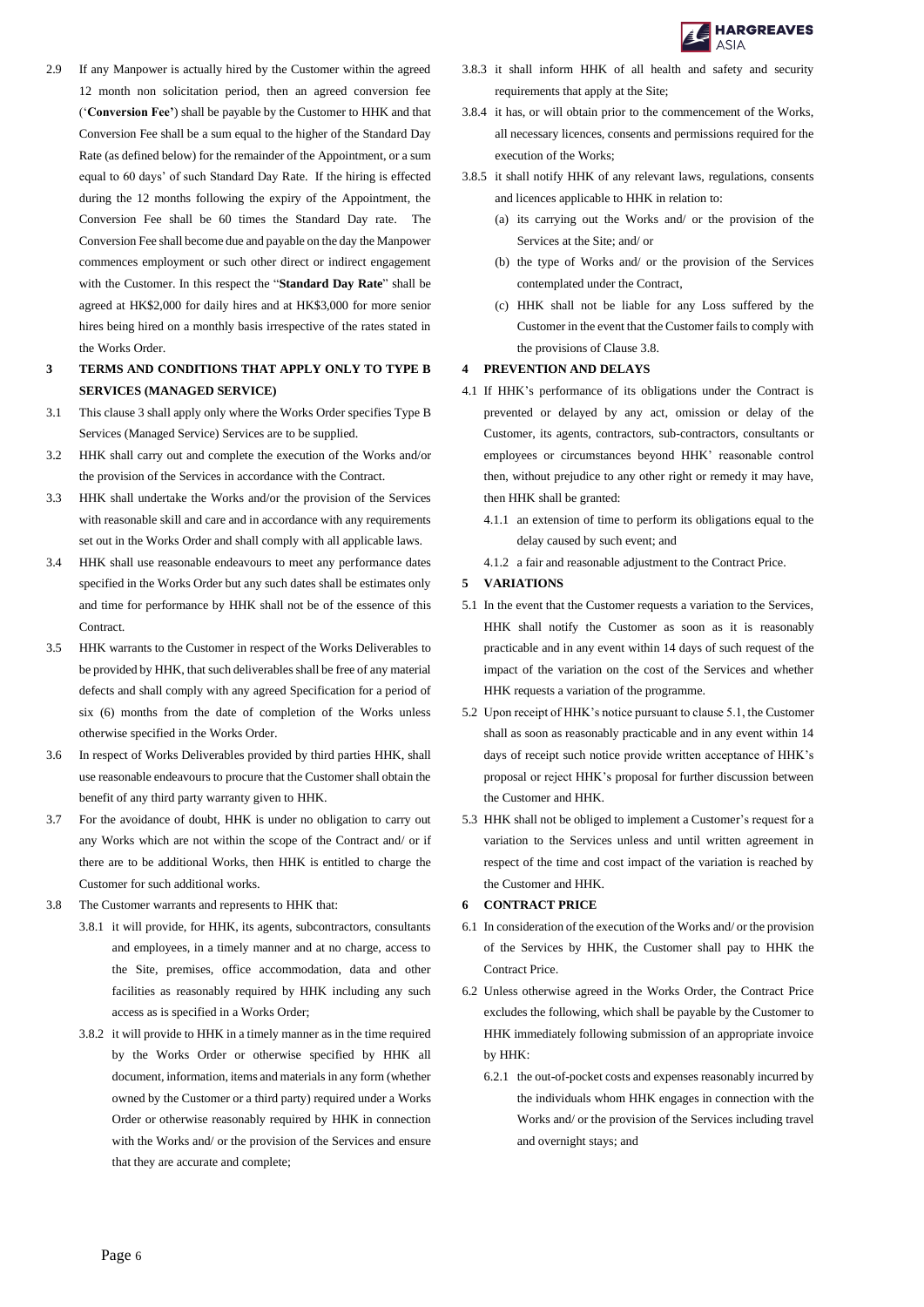

- 2.9 If any Manpower is actually hired by the Customer within the agreed 12 month non solicitation period, then an agreed conversion fee ('**Conversion Fee'**) shall be payable by the Customer to HHK and that Conversion Fee shall be a sum equal to the higher of the Standard Day Rate (as defined below) for the remainder of the Appointment, or a sum equal to 60 days' of such Standard Day Rate. If the hiring is effected during the 12 months following the expiry of the Appointment, the Conversion Fee shall be 60 times the Standard Day rate. The Conversion Fee shall become due and payable on the day the Manpower commences employment or such other direct or indirect engagement with the Customer. In this respect the "**Standard Day Rate**" shall be agreed at HK\$2,000 for daily hires and at HK\$3,000 for more senior hires being hired on a monthly basis irrespective of the rates stated in the Works Order.
- **3 TERMS AND CONDITIONS THAT APPLY ONLY TO TYPE B SERVICES (MANAGED SERVICE)**
- 3.1 This clause 3 shall apply only where the Works Order specifies Type B Services (Managed Service) Services are to be supplied.
- 3.2 HHK shall carry out and complete the execution of the Works and/or the provision of the Services in accordance with the Contract.
- 3.3 HHK shall undertake the Works and/or the provision of the Services with reasonable skill and care and in accordance with any requirements set out in the Works Order and shall comply with all applicable laws.
- 3.4 HHK shall use reasonable endeavours to meet any performance dates specified in the Works Order but any such dates shall be estimates only and time for performance by HHK shall not be of the essence of this Contract.
- 3.5 HHK warrants to the Customer in respect of the Works Deliverables to be provided by HHK, that such deliverables shall be free of any material defects and shall comply with any agreed Specification for a period of six (6) months from the date of completion of the Works unless otherwise specified in the Works Order.
- 3.6 In respect of Works Deliverables provided by third parties HHK, shall use reasonable endeavours to procure that the Customer shall obtain the benefit of any third party warranty given to HHK.
- 3.7 For the avoidance of doubt, HHK is under no obligation to carry out any Works which are not within the scope of the Contract and/ or if there are to be additional Works, then HHK is entitled to charge the Customer for such additional works.
- 3.8 The Customer warrants and represents to HHK that:
	- 3.8.1 it will provide, for HHK, its agents, subcontractors, consultants and employees, in a timely manner and at no charge, access to the Site, premises, office accommodation, data and other facilities as reasonably required by HHK including any such access as is specified in a Works Order;
	- 3.8.2 it will provide to HHK in a timely manner as in the time required by the Works Order or otherwise specified by HHK all document, information, items and materials in any form (whether owned by the Customer or a third party) required under a Works Order or otherwise reasonably required by HHK in connection with the Works and/ or the provision of the Services and ensure that they are accurate and complete;
- 3.8.3 it shall inform HHK of all health and safety and security requirements that apply at the Site;
- 3.8.4 it has, or will obtain prior to the commencement of the Works, all necessary licences, consents and permissions required for the execution of the Works;
- 3.8.5 it shall notify HHK of any relevant laws, regulations, consents and licences applicable to HHK in relation to:
	- (a) its carrying out the Works and/ or the provision of the Services at the Site; and/ or
	- (b) the type of Works and/ or the provision of the Services contemplated under the Contract,
	- (c) HHK shall not be liable for any Loss suffered by the Customer in the event that the Customer fails to comply with the provisions of Clause 3.8.

## **4 PREVENTION AND DELAYS**

- 4.1 If HHK's performance of its obligations under the Contract is prevented or delayed by any act, omission or delay of the Customer, its agents, contractors, sub-contractors, consultants or employees or circumstances beyond HHK' reasonable control then, without prejudice to any other right or remedy it may have, then HHK shall be granted:
	- 4.1.1 an extension of time to perform its obligations equal to the delay caused by such event; and
	- 4.1.2 a fair and reasonable adjustment to the Contract Price.

### **5 VARIATIONS**

- 5.1 In the event that the Customer requests a variation to the Services, HHK shall notify the Customer as soon as it is reasonably practicable and in any event within 14 days of such request of the impact of the variation on the cost of the Services and whether HHK requests a variation of the programme.
- 5.2 Upon receipt of HHK's notice pursuant to clause 5.1, the Customer shall as soon as reasonably practicable and in any event within 14 days of receipt such notice provide written acceptance of HHK's proposal or reject HHK's proposal for further discussion between the Customer and HHK.
- 5.3 HHK shall not be obliged to implement a Customer's request for a variation to the Services unless and until written agreement in respect of the time and cost impact of the variation is reached by the Customer and HHK.

#### **6 CONTRACT PRICE**

- 6.1 In consideration of the execution of the Works and/ or the provision of the Services by HHK, the Customer shall pay to HHK the Contract Price.
- 6.2 Unless otherwise agreed in the Works Order, the Contract Price excludes the following, which shall be payable by the Customer to HHK immediately following submission of an appropriate invoice by HHK:
	- 6.2.1 the out-of-pocket costs and expenses reasonably incurred by the individuals whom HHK engages in connection with the Works and/ or the provision of the Services including travel and overnight stays; and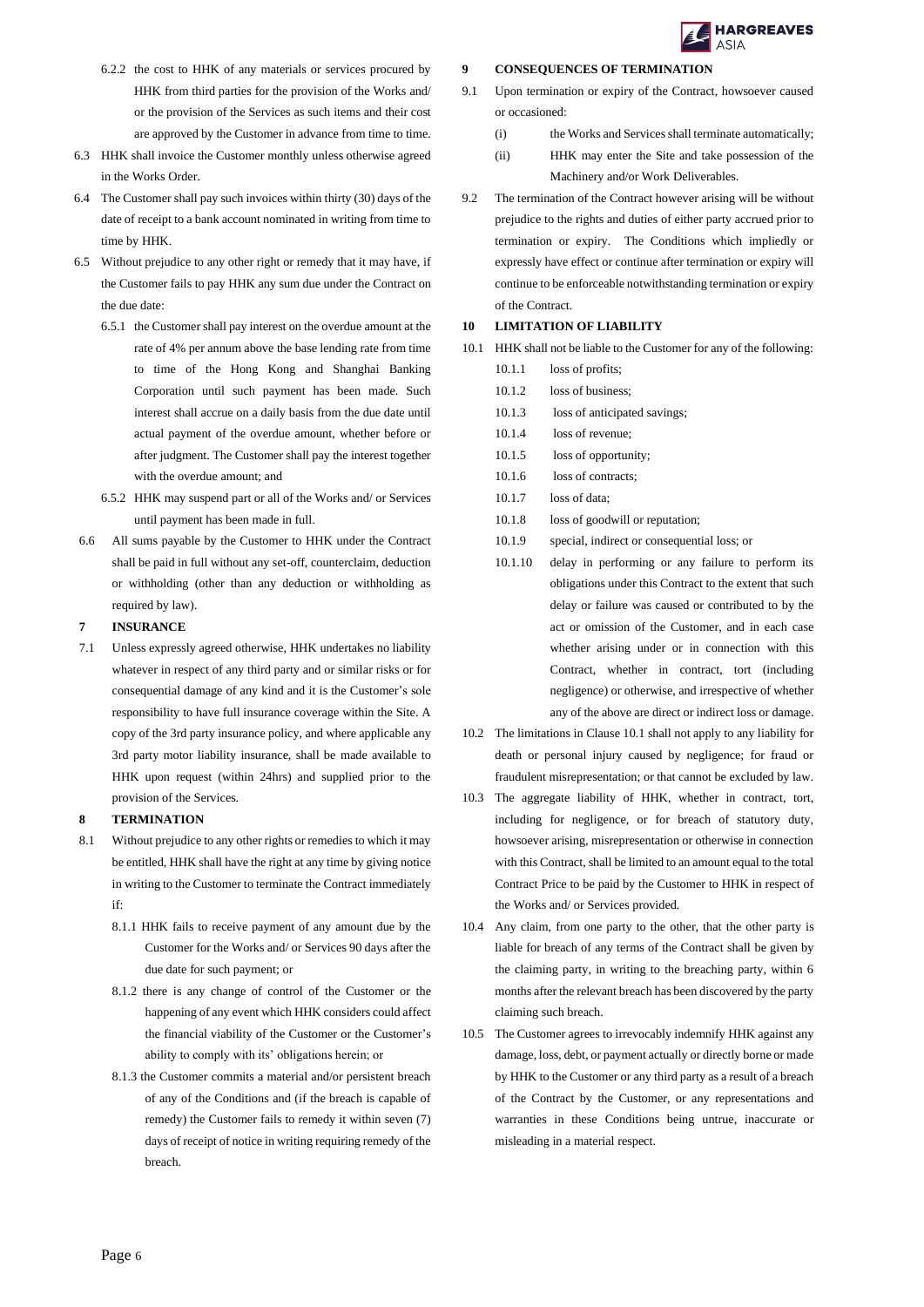

- 6.2.2 the cost to HHK of any materials or services procured by HHK from third parties for the provision of the Works and/ or the provision of the Services as such items and their cost are approved by the Customer in advance from time to time.
- 6.3 HHK shall invoice the Customer monthly unless otherwise agreed in the Works Order.
- 6.4 The Customer shall pay such invoices within thirty (30) days of the date of receipt to a bank account nominated in writing from time to time by HHK.
- 6.5 Without prejudice to any other right or remedy that it may have, if the Customer fails to pay HHK any sum due under the Contract on the due date:
	- 6.5.1 the Customer shall pay interest on the overdue amount at the rate of 4% per annum above the base lending rate from time to time of the Hong Kong and Shanghai Banking Corporation until such payment has been made. Such interest shall accrue on a daily basis from the due date until actual payment of the overdue amount, whether before or after judgment. The Customer shall pay the interest together with the overdue amount; and
	- 6.5.2 HHK may suspend part or all of the Works and/ or Services until payment has been made in full.
- 6.6 All sums payable by the Customer to HHK under the Contract shall be paid in full without any set-off, counterclaim, deduction or withholding (other than any deduction or withholding as required by law).

# **7 INSURANCE**

7.1 Unless expressly agreed otherwise, HHK undertakes no liability whatever in respect of any third party and or similar risks or for consequential damage of any kind and it is the Customer's sole responsibility to have full insurance coverage within the Site. A copy of the 3rd party insurance policy, and where applicable any 3rd party motor liability insurance, shall be made available to HHK upon request (within 24hrs) and supplied prior to the provision of the Services.

#### **8 TERMINATION**

- 8.1 Without prejudice to any other rights or remedies to which it may be entitled, HHK shall have the right at any time by giving notice in writing to the Customer to terminate the Contract immediately if:
	- 8.1.1 HHK fails to receive payment of any amount due by the Customer for the Works and/ or Services 90 days after the due date for such payment; or
	- 8.1.2 there is any change of control of the Customer or the happening of any event which HHK considers could affect the financial viability of the Customer or the Customer's ability to comply with its' obligations herein; or
	- 8.1.3 the Customer commits a material and/or persistent breach of any of the Conditions and (if the breach is capable of remedy) the Customer fails to remedy it within seven (7) days of receipt of notice in writing requiring remedy of the breach.

#### **9 CONSEQUENCES OF TERMINATION**

- 9.1 Upon termination or expiry of the Contract, howsoever caused or occasioned:
	- (i) the Works and Services shall terminate automatically;
	- (ii) HHK may enter the Site and take possession of the Machinery and/or Work Deliverables.
- 9.2 The termination of the Contract however arising will be without prejudice to the rights and duties of either party accrued prior to termination or expiry. The Conditions which impliedly or expressly have effect or continue after termination or expiry will continue to be enforceable notwithstanding termination or expiry of the Contract.

#### **10 LIMITATION OF LIABILITY**

- 10.1 HHK shall not be liable to the Customer for any of the following: 10.1.1 loss of profits;
	- 10.1.2 loss of business;
	- 10.1.3 loss of anticipated savings;
	- 10.1.4 loss of revenue;
	- 10.1.5 loss of opportunity;
	- 10.1.6 loss of contracts;
	- 10.1.7 loss of data;
	- 10.1.8 loss of goodwill or reputation;
	- 10.1.9 special, indirect or consequential loss; or
	- 10.1.10 delay in performing or any failure to perform its obligations under this Contract to the extent that such delay or failure was caused or contributed to by the act or omission of the Customer, and in each case whether arising under or in connection with this Contract, whether in contract, tort (including negligence) or otherwise, and irrespective of whether any of the above are direct or indirect loss or damage.
- 10.2 The limitations in Clause 10.1 shall not apply to any liability for death or personal injury caused by negligence; for fraud or fraudulent misrepresentation; or that cannot be excluded by law.
- 10.3 The aggregate liability of HHK, whether in contract, tort, including for negligence, or for breach of statutory duty, howsoever arising, misrepresentation or otherwise in connection with this Contract, shall be limited to an amount equal to the total Contract Price to be paid by the Customer to HHK in respect of the Works and/ or Services provided.
- 10.4 Any claim, from one party to the other, that the other party is liable for breach of any terms of the Contract shall be given by the claiming party, in writing to the breaching party, within 6 months after the relevant breach has been discovered by the party claiming such breach.
- 10.5 The Customer agrees to irrevocably indemnify HHK against any damage, loss, debt, or payment actually or directly borne or made by HHK to the Customer or any third party as a result of a breach of the Contract by the Customer, or any representations and warranties in these Conditions being untrue, inaccurate or misleading in a material respect.